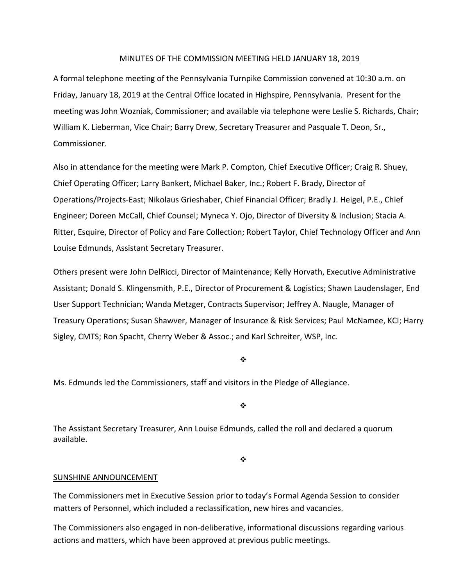# MINUTES OF THE COMMISSION MEETING HELD JANUARY 18, 2019

A formal telephone meeting of the Pennsylvania Turnpike Commission convened at 10:30 a.m. on Friday, January 18, 2019 at the Central Office located in Highspire, Pennsylvania. Present for the meeting was John Wozniak, Commissioner; and available via telephone were Leslie S. Richards, Chair; William K. Lieberman, Vice Chair; Barry Drew, Secretary Treasurer and Pasquale T. Deon, Sr., Commissioner.

Also in attendance for the meeting were Mark P. Compton, Chief Executive Officer; Craig R. Shuey, Chief Operating Officer; Larry Bankert, Michael Baker, Inc.; Robert F. Brady, Director of Operations/Projects‐East; Nikolaus Grieshaber, Chief Financial Officer; Bradly J. Heigel, P.E., Chief Engineer; Doreen McCall, Chief Counsel; Myneca Y. Ojo, Director of Diversity & Inclusion; Stacia A. Ritter, Esquire, Director of Policy and Fare Collection; Robert Taylor, Chief Technology Officer and Ann Louise Edmunds, Assistant Secretary Treasurer.

Others present were John DelRicci, Director of Maintenance; Kelly Horvath, Executive Administrative Assistant; Donald S. Klingensmith, P.E., Director of Procurement & Logistics; Shawn Laudenslager, End User Support Technician; Wanda Metzger, Contracts Supervisor; Jeffrey A. Naugle, Manager of Treasury Operations; Susan Shawver, Manager of Insurance & Risk Services; Paul McNamee, KCI; Harry Sigley, CMTS; Ron Spacht, Cherry Weber & Assoc.; and Karl Schreiter, WSP, Inc.

#### ❖

Ms. Edmunds led the Commissioners, staff and visitors in the Pledge of Allegiance.

÷

The Assistant Secretary Treasurer, Ann Louise Edmunds, called the roll and declared a quorum available.

 $\frac{1}{2}$ 

# SUNSHINE ANNOUNCEMENT

The Commissioners met in Executive Session prior to today's Formal Agenda Session to consider matters of Personnel, which included a reclassification, new hires and vacancies.

The Commissioners also engaged in non‐deliberative, informational discussions regarding various actions and matters, which have been approved at previous public meetings.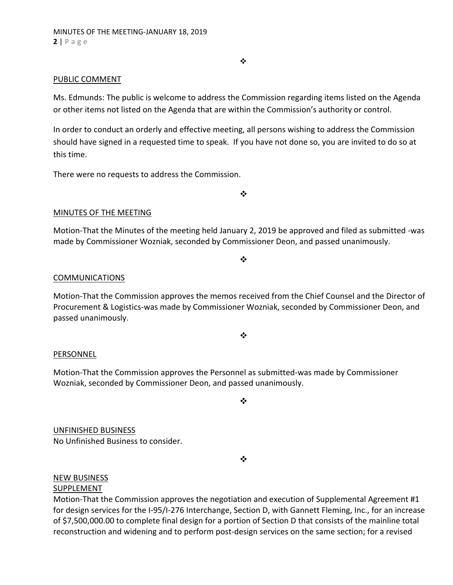#### $\bullet$

# PUBLIC COMMENT

Ms. Edmunds: The public is welcome to address the Commission regarding items listed on the Agenda or other items not listed on the Agenda that are within the Commission's authority or control.

In order to conduct an orderly and effective meeting, all persons wishing to address the Commission should have signed in a requested time to speak. If you have not done so, you are invited to do so at this time.

There were no requests to address the Commission.

 $\bullet^{\bullet}_{\bullet} \bullet$ 

# MINUTES OF THE MEETING

Motion‐That the Minutes of the meeting held January 2, 2019 be approved and filed as submitted ‐was made by Commissioner Wozniak, seconded by Commissioner Deon, and passed unanimously.

 $\frac{1}{2}$ 

### COMMUNICATIONS

Motion‐That the Commission approves the memos received from the Chief Counsel and the Director of Procurement & Logistics‐was made by Commissioner Wozniak, seconded by Commissioner Deon, and passed unanimously.

❖

#### PERSONNEL

Motion‐That the Commission approves the Personnel as submitted‐was made by Commissioner Wozniak, seconded by Commissioner Deon, and passed unanimously.

❖

UNFINISHED BUSINESS No Unfinished Business to consider.

 $\bullet^{\bullet}_{\bullet} \bullet$ 

#### NEW BUSINESS

### SUPPLEMENT

Motion-That the Commission approves the negotiation and execution of Supplemental Agreement #1 for design services for the I‐95/I‐276 Interchange, Section D, with Gannett Fleming, Inc., for an increase of \$7,500,000.00 to complete final design for a portion of Section D that consists of the mainline total reconstruction and widening and to perform post-design services on the same section; for a revised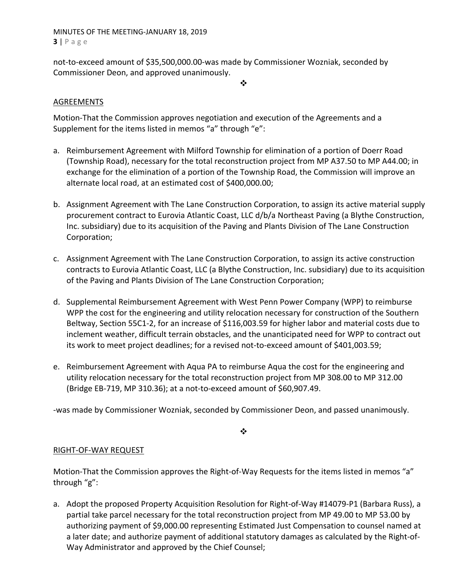# MINUTES OF THE MEETING‐JANUARY 18, 2019 **3** | Page

not‐to‐exceed amount of \$35,500,000.00‐was made by Commissioner Wozniak, seconded by Commissioner Deon, and approved unanimously.

❖

# AGREEMENTS

Motion‐That the Commission approves negotiation and execution of the Agreements and a Supplement for the items listed in memos "a" through "e":

- a. Reimbursement Agreement with Milford Township for elimination of a portion of Doerr Road (Township Road), necessary for the total reconstruction project from MP A37.50 to MP A44.00; in exchange for the elimination of a portion of the Township Road, the Commission will improve an alternate local road, at an estimated cost of \$400,000.00;
- b. Assignment Agreement with The Lane Construction Corporation, to assign its active material supply procurement contract to Eurovia Atlantic Coast, LLC d/b/a Northeast Paving (a Blythe Construction, Inc. subsidiary) due to its acquisition of the Paving and Plants Division of The Lane Construction Corporation;
- c. Assignment Agreement with The Lane Construction Corporation, to assign its active construction contracts to Eurovia Atlantic Coast, LLC (a Blythe Construction, Inc. subsidiary) due to its acquisition of the Paving and Plants Division of The Lane Construction Corporation;
- d. Supplemental Reimbursement Agreement with West Penn Power Company (WPP) to reimburse WPP the cost for the engineering and utility relocation necessary for construction of the Southern Beltway, Section 55C1‐2, for an increase of \$116,003.59 for higher labor and material costs due to inclement weather, difficult terrain obstacles, and the unanticipated need for WPP to contract out its work to meet project deadlines; for a revised not‐to‐exceed amount of \$401,003.59;
- e. Reimbursement Agreement with Aqua PA to reimburse Aqua the cost for the engineering and utility relocation necessary for the total reconstruction project from MP 308.00 to MP 312.00 (Bridge EB‐719, MP 310.36); at a not‐to‐exceed amount of \$60,907.49.

‐was made by Commissioner Wozniak, seconded by Commissioner Deon, and passed unanimously.

❖

# RIGHT‐OF‐WAY REQUEST

Motion-That the Commission approves the Right-of-Way Requests for the items listed in memos "a" through "g":

a. Adopt the proposed Property Acquisition Resolution for Right‐of‐Way #14079‐P1 (Barbara Russ), a partial take parcel necessary for the total reconstruction project from MP 49.00 to MP 53.00 by authorizing payment of \$9,000.00 representing Estimated Just Compensation to counsel named at a later date; and authorize payment of additional statutory damages as calculated by the Right‐of‐ Way Administrator and approved by the Chief Counsel;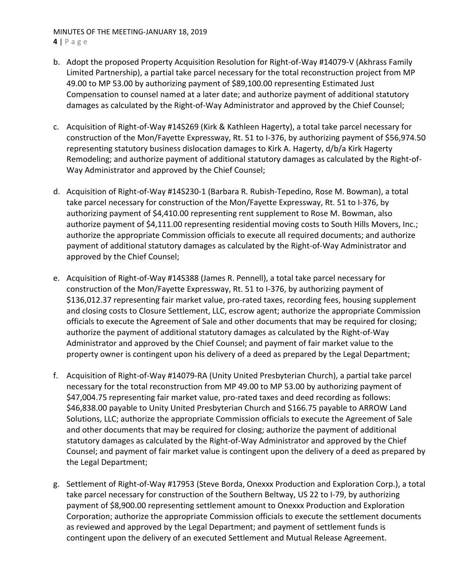# MINUTES OF THE MEETING‐JANUARY 18, 2019 **4** | Page

- b. Adopt the proposed Property Acquisition Resolution for Right‐of‐Way #14079‐V (Akhrass Family Limited Partnership), a partial take parcel necessary for the total reconstruction project from MP 49.00 to MP 53.00 by authorizing payment of \$89,100.00 representing Estimated Just Compensation to counsel named at a later date; and authorize payment of additional statutory damages as calculated by the Right‐of‐Way Administrator and approved by the Chief Counsel;
- c. Acquisition of Right‐of‐Way #14S269 (Kirk & Kathleen Hagerty), a total take parcel necessary for construction of the Mon/Fayette Expressway, Rt. 51 to I‐376, by authorizing payment of \$56,974.50 representing statutory business dislocation damages to Kirk A. Hagerty, d/b/a Kirk Hagerty Remodeling; and authorize payment of additional statutory damages as calculated by the Right‐of‐ Way Administrator and approved by the Chief Counsel;
- d. Acquisition of Right‐of‐Way #14S230‐1 (Barbara R. Rubish‐Tepedino, Rose M. Bowman), a total take parcel necessary for construction of the Mon/Fayette Expressway, Rt. 51 to I‐376, by authorizing payment of \$4,410.00 representing rent supplement to Rose M. Bowman, also authorize payment of \$4,111.00 representing residential moving costs to South Hills Movers, Inc.; authorize the appropriate Commission officials to execute all required documents; and authorize payment of additional statutory damages as calculated by the Right‐of‐Way Administrator and approved by the Chief Counsel;
- e. Acquisition of Right‐of‐Way #14S388 (James R. Pennell), a total take parcel necessary for construction of the Mon/Fayette Expressway, Rt. 51 to I‐376, by authorizing payment of \$136,012.37 representing fair market value, pro‐rated taxes, recording fees, housing supplement and closing costs to Closure Settlement, LLC, escrow agent; authorize the appropriate Commission officials to execute the Agreement of Sale and other documents that may be required for closing; authorize the payment of additional statutory damages as calculated by the Right‐of‐Way Administrator and approved by the Chief Counsel; and payment of fair market value to the property owner is contingent upon his delivery of a deed as prepared by the Legal Department;
- f. Acquisition of Right‐of‐Way #14079‐RA (Unity United Presbyterian Church), a partial take parcel necessary for the total reconstruction from MP 49.00 to MP 53.00 by authorizing payment of \$47,004.75 representing fair market value, pro-rated taxes and deed recording as follows: \$46,838.00 payable to Unity United Presbyterian Church and \$166.75 payable to ARROW Land Solutions, LLC; authorize the appropriate Commission officials to execute the Agreement of Sale and other documents that may be required for closing; authorize the payment of additional statutory damages as calculated by the Right‐of‐Way Administrator and approved by the Chief Counsel; and payment of fair market value is contingent upon the delivery of a deed as prepared by the Legal Department;
- g. Settlement of Right‐of‐Way #17953 (Steve Borda, Onexxx Production and Exploration Corp.), a total take parcel necessary for construction of the Southern Beltway, US 22 to I‐79, by authorizing payment of \$8,900.00 representing settlement amount to Onexxx Production and Exploration Corporation; authorize the appropriate Commission officials to execute the settlement documents as reviewed and approved by the Legal Department; and payment of settlement funds is contingent upon the delivery of an executed Settlement and Mutual Release Agreement.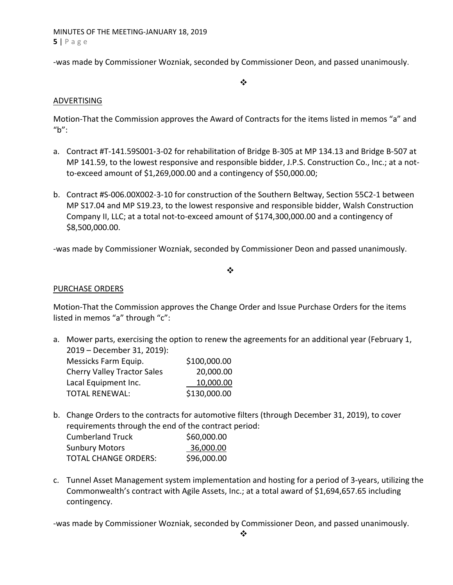MINUTES OF THE MEETING‐JANUARY 18, 2019 **5** | Page

‐was made by Commissioner Wozniak, seconded by Commissioner Deon, and passed unanimously.

 $\frac{1}{2}$ 

# ADVERTISING

Motion‐That the Commission approves the Award of Contracts for the items listed in memos "a" and "b":

- a. Contract #T‐141.59S001‐3‐02 for rehabilitation of Bridge B‐305 at MP 134.13 and Bridge B‐507 at MP 141.59, to the lowest responsive and responsible bidder, J.P.S. Construction Co., Inc.; at a notto‐exceed amount of \$1,269,000.00 and a contingency of \$50,000.00;
- b. Contract #S‐006.00X002‐3‐10 for construction of the Southern Beltway, Section 55C2‐1 between MP S17.04 and MP S19.23, to the lowest responsive and responsible bidder, Walsh Construction Company II, LLC; at a total not‐to‐exceed amount of \$174,300,000.00 and a contingency of \$8,500,000.00.

‐was made by Commissioner Wozniak, seconded by Commissioner Deon and passed unanimously.

### ❖

# PURCHASE ORDERS

Motion‐That the Commission approves the Change Order and Issue Purchase Orders for the items listed in memos "a" through "c":

a. Mower parts, exercising the option to renew the agreements for an additional year (February 1, 2019 – December 31, 2019):

| Messicks Farm Equip.               | \$100,000.00 |
|------------------------------------|--------------|
| <b>Cherry Valley Tractor Sales</b> | 20,000.00    |
| Lacal Equipment Inc.               | 10,000.00    |
| <b>TOTAL RENEWAL:</b>              | \$130,000.00 |

b. Change Orders to the contracts for automotive filters (through December 31, 2019), to cover requirements through the end of the contract period:

| <b>Cumberland Truck</b>     | \$60,000.00 |
|-----------------------------|-------------|
| <b>Sunbury Motors</b>       | 36,000.00   |
| <b>TOTAL CHANGE ORDERS:</b> | \$96,000.00 |

c. Tunnel Asset Management system implementation and hosting for a period of 3‐years, utilizing the Commonwealth's contract with Agile Assets, Inc.; at a total award of \$1,694,657.65 including contingency.

‐was made by Commissioner Wozniak, seconded by Commissioner Deon, and passed unanimously.